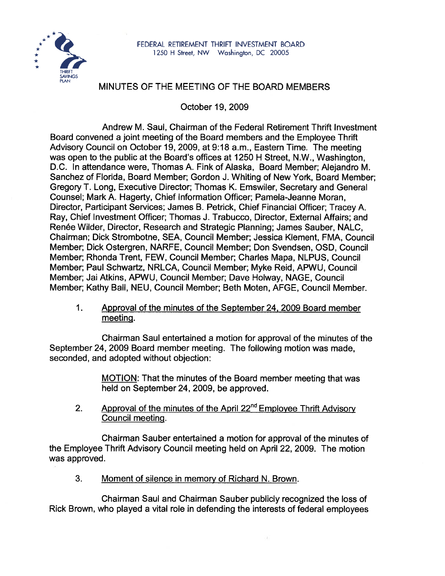

# MINUTES OF THE MEETING OF THE BOARD MEMBERS

October 19, 2009

Andrew M. Saul, Chairman of the Federal Retirement Thrift lnvestment Board convened a joint meeting of the Board members and the Employee Thrift Advisory Council on October 19, 2009, at 9:18 a.m., Eastern Time. The meeting was open to the public at the Board's offices at 1250 H Street, N.W., Washington, D.C. In attendance were, Thomas A. Fink of Alaska, Board Member; Alejandro M. Sanchez of Florida, Board Member; Gordon J. Whiting of New York, Board Member; Gregory T. Long, Executive Director; Thomas K. Emswiler, Secretary and General Counsel; Mark A. Hagerty, Chief Information Officer; Pamela-Jeanne Moran, Director, Participant Services; James B. Petrick, Chief Financial Officer; Tracey A. Ray, Chief lnvestment Officer; Thomas J. Trabucco, Director, External Affairs; and Renée Wilder, Director, Research and Strategic Planning; James Sauber, NALC, Chairman; Dick Strombotne, SEA, Council Member; Jessica Klement, FMA, Council Member; Dick Ostergren, NARFE, Council Member; Don Svendsen, OSD, Council Member; Rhonda Trent, FEW, Council Member; Charles Mapa, NLPUS, Council Member; Paul Schwartz, NRLCA, Council Member; Myke Reid, APWU, Council Member; Jai Atkins, APWU, Council Member; Dave Holway, NAGE, Council Member; Kathy Ball, NEU, Council Member; Beth Moten, AFGE, Council Member.

 $1<sub>1</sub>$ Approval of the minutes of the September 24,2009 Board member meetinq.

Chairman Saul entertained a motion for approval of the minutes of the September 24, 2009 Board member meeting. The following motion was made, seconded, and adopted without objection:

> MOTION: That the minutes of the Board member meeting that was held on September 24, 2009, be approved.

Approval of the minutes of the April 22<sup>nd</sup> Employee Thrift Advisory  $2.$ Council meetinq.

Chairman Sauber entertained a motion for approval of the minutes of the Employee Thrift Advisory Council meeting held on April 22, 2009. The motion was approved.

3. Moment of silence in memory of Richard N. Brown.

Chairman Saul and Chairman Sauber publicly recognized the loss of Rick Brown, who played a vital role in defending the interests of federal employees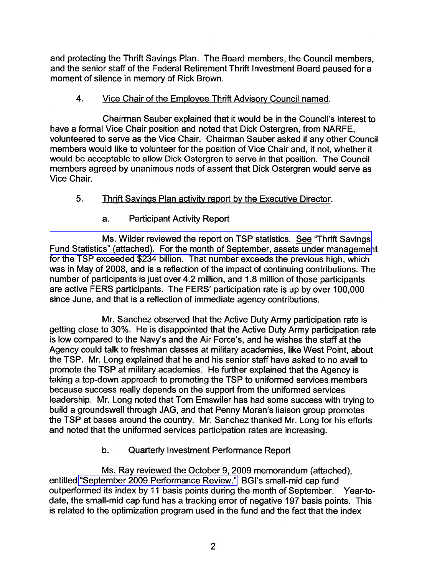and protecting the Thrift Savings Plan. The Board members, the Council members, and the senior staff of the Federal Retirement Thrift lnvestment Board paused for a moment of silence in memory of Rick Brown.

### 4. Vice Chair of the Employee Thrift Advisory Council named.

Chairman Sauber explained that it would be in the Council's interest to have a formal Vice Chair position and noted that Dick Ostergren, from NARFE, volunteered to serve as the Vice Chair. Chairman Sauber asked if any other Council members would like to volunteer for the position of Vice Chair and, if not, whether it would be acceptable to allow Dick Ostergren to serve in that position. The Council members agreed by unanimous nods of assent that Dick Ostergren would serve as Vice Chair.

### **5.** Thrift Savings Plan activity report by the Executive Director.

## a. Participant Activity Report

Ms. Wilder reviewed the report on TSP statistics. **See** "Thrift Savings [Fund Statistics" \(attached\). For the month of September, assets under manageme](http://www.frtib.gov/pdf/minutes/MM-2009Oct-Att1.pdf)nt for the TSP exceeded \$234 billion. That number exceeds the previous high, which was in May of 2008, and is a reflection of the impact of continuing contributions. The number of participants is just over 4.2 million, and 1.8 million of those participants are active FERS participants. The FERS' participation rate is up by over 100,000 since June, and that is a reflection of immediate agency contributions.

Mr. Sanchez observed that the Active Duty Army participation rate is getting close to 30%. He is disappointed that the Active Duty Army participation rate is low compared to the Navy's and the Air Force's, and he wishes the staff at the Agency could talk to freshman classes at military academies, like West Point, about the TSP. Mr. Long explained that he and his senior staff have asked to no avail to promote the TSP at military academies. He further explained that the Agency is taking a top-down approach to promoting the TSP to uniformed services members because success really depends on the support from the uniformed services leadership. Mr. Long noted that Tom Emswiler has had some success with trying to build a groundswell through JAG, and that Penny Moran's liaison group promotes the TSP at bases around the country. Mr. Sanchez thanked Mr. Long for his efforts and noted that the uniformed services participation rates are increasing.

## b. Quarterly lnvestment Performance Report

Ms. Ray reviewed the October 9,2009 memorandum (attached), entitled ["September 2009 Performance Review."](http://www.frtib.gov/pdf/minutes/MM-2009Oct-Att2.pdf) BGl's small-mid cap fund outperformed its index by 11 basis points during the month of September. Year-todate, the small-mid cap fund has a tracking error of negative 197 basis points. This is related to the optimization program used in the fund and the fact that the index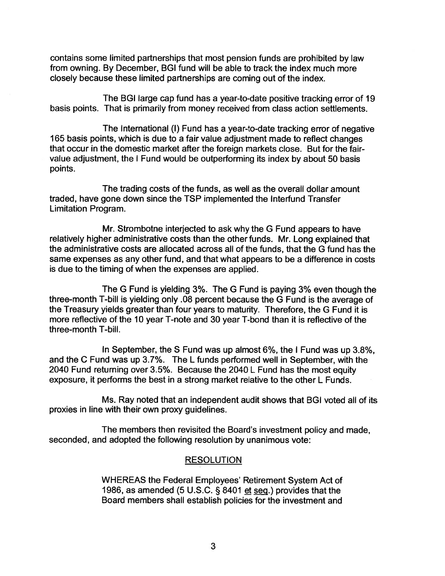contains some limited partnerships that most pension funds are prohibited by law from owning. By December, BGI fund will be able to track the index much more closely because these limited partnerships are coming out of the index.

The BGI large cap fund has a year-to-date positive tracking error of 19 basis points. That is primarily from money received from class action settlements.

The International (I) Fund has a year-to-date tracking error of negative 165 basis points, which is due to a fair value adjustment made to reflect changes that occur in the domestic market after the foreign markets close. But for the fairvalue adjustment, the I Fund would be outperforming its index by about 50 basis points.

The trading costs of the funds, as well as the overall dollar amount traded, have gone down since the TSP implemented the lnterfund Transfer Limitation Program.

Mr. Strombotne interjected to ask why the G Fund appears to have relatively higher administrative costs than the other funds. Mr. Long explained that the administrative costs are allocated across all of the funds, that the G fund has the same expenses as any other fund, and that what appears to be a difference in costs is due to the timing of when the expenses are applied.

The G Fund is yielding 3%. The G Fund is paying 3% even though the three-month T-bill is yielding only .08 percent because the G Fund is the average of the Treasury yields greater than four years to maturity. Therefore, the G Fund it is more reflective of the 10 year T-note and 30 year T-bond than it is reflective of the three-month T-bill.

In September, the S Fund was up almost 6%, the I Fund was up 3.8%, and the C Fund was up 3.7%. The L funds performed well in September, with the 2040 Fund returning over 3.5%. Because the 2040 L Fund has the most equity exposure, it performs the best in a strong market relative to the other L Funds.

Ms. Ray noted that an independent audit shows that BGI voted all of its proxies in line with their own proxy guidelines.

The members then revisited the Board's investment policy and made, seconded, and adopted the following resolution by unanimous vote:

#### **RESOLUTION**

WHEREAS the Federal Employees' Retirement System Act of 1986, as amended (5 U.S.C.  $\S$  8401 et seq.) provides that the Board members shall establish policies for the investment and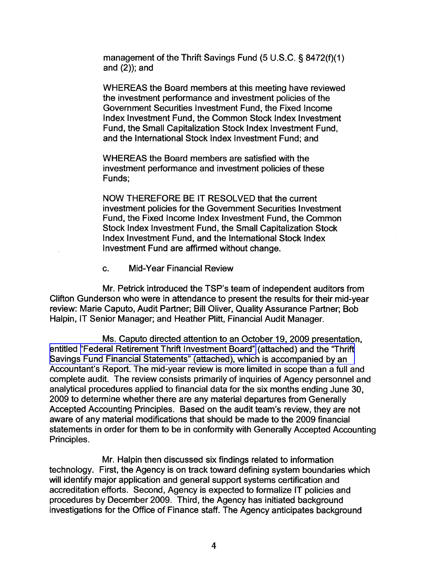management of the Thrift Savings Fund (5 U.S.C. § 8472(f)(1) and (2)); and

WHEREAS the Board members at this meeting have reviewed the investment performance and investment policies of the Government Securities lnvestment Fund, the Fixed Income lndex lnvestment Fund, the Common Stock lndex lnvestment Fund, the Small Capitalization Stock lndex lnvestment Fund, and the International Stock lndex lnvestment Fund; and

WHEREAS the Board members are satisfied with the investment performance and investment policies of these Funds;

NOW THEREFORE BE IT RESOLVED that the current investment policies for the Government Securities Investment Fund, the Fixed Income lndex lnvestment Fund, the Common Stock lndex lnvestment Fund, the Small Capitalization Stock lndex lnvestment Fund, and the International Stock lndex lnvestment Fund are affirmed without change.

c. Mid-Year Financial Review

Mr. Petrick introduced the TSP's team of independent auditors from Clifton Gunderson who were in attendance to present the results for their mid-year review: Marie Caputo, Audit Partner; Bill Oliver, Quality Assurance Partner; Bob Halpin, IT Senior Manager; and Heather Plitt, Financial Audit Manager.

Ms. Caputo directed attention to an October 19, 2009 presentation, entitled ["Federal Retirement Thrift lnvestment Board"](http://www.frtib.gov/pdf/minutes/MM-2009Oct-Att3.pdf) (attached) and the "Thrift [Savings Fund Financial Statements" \(attached\), which is accompanied by an](http://www.frtib.gov/pdf/minutes/MM-2009Oct-Att4.pdf)  Accountant's Report. The mid-year review is more limited in scope than a full and complete audit. The review consists primarily of inquiries of Agency personnel and analytical procedures applied to financial data for the six months ending June 30, 2009 to determine whether there are any material departures from Generally Accepted Accounting Principles. Based on the audit team's review, they are not aware of any material modifications that should be made to the 2009 financial statements in order for them to be in conformity with Generally Accepted Accounting Principles.

Mr. Halpin then discussed six findings related to information technology. First, the Agency is on track toward defining system boundaries which will identify major application and general support systems certification and accreditation efforts. Second, Agency is expected to formalize IT policies and procedures by December 2009. Third, the Agency has initiated background investigations for the Office of Finance staff. The Agency anticipates background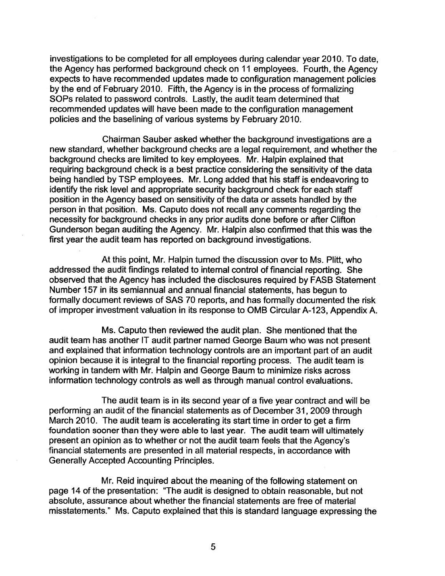investigations to be completed for all employees during calendar year 2010. To date, the Agency has performed background check on 11 employees. Fourth, the Agency expects to have recommended updates made to configuration management policies by the end of February 2010. Fifth, the Agency is in the process of formalizing SOPS related to password controls. Lastly, the audit team determined that recommended updates will have been made to the configuration management policies and the baselining of various systems by February 2010.

Chairman Sauber asked whether the background investigations are a new standard, whether background checks are a legal requirement, and whether the background checks are limited to key employees. Mr. Halpin explained that requiring background check is a best practice considering the sensitivity of the data being handled by TSP employees. Mr. Long added that his staff is endeavoring to identify the risk level and appropriate security background check for each staff position in the Agency based on sensitivity of the data or assets handled by the person in that position. Ms. Caputo does not recall any comments regarding the necessity for background checks in any prior audits done before or after Clifton Gunderson began auditing the Agency. Mr. Halpin also confirmed that this was the first year the audit team has reported on background investigations.

At this point, Mr. Halpin turned the discussion over to Ms. Plitt, who addressed the audit findings related to internal control of financial reporting. She observed that the Agency has included the disclosures required by FASB Statement Number 157 in its semiannual and annual financial statements, has begun to formally document reviews of SAS 70 reports, and has formally documented the risk of improper investment valuation in its response to OMB Circular A-123, Appendix A.

Ms. Caputo then reviewed the audit plan. She mentioned that the audit team has another IT audit partner named George Baum who was not present and explained that information technology controls are an important part of an audit opinion because it is integral to the financial reporting process. The audit team is working in tandem with Mr. Halpin and George Baum to minimize risks across information technology controls as well as through manual control evaluations.

The audit team is in its second year of a five year contract and will be performing an audit of the financial statements as of December 31,2009 through March 2010. The audit team is accelerating its start time in order to get a firm foundation sooner than they were able to last year. The audit team will ultimately present an opinion as to whether or not the audit team feels that the Agency's financial statements are presented in all material respects, in accordance with Generally Accepted Accounting Principles.

Mr. Reid inquired about the meaning of the following statement on page 14 of the presentation: "The audit is designed to obtain reasonable, but not absolute, assurance about whether the financial statements are free of material misstatements." Ms. Caputo explained that this is standard language expressing the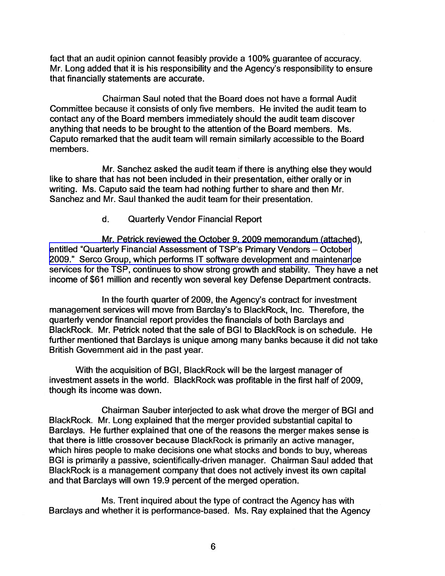fact that an audit opinion cannot feasibly provide a 100% guarantee of accuracy. Mr. Long added that it is his responsibility and the Agency's responsibility to ensure that financially statements are accurate.

Chairman Saul noted that the Board does not have a formal Audit Committee because it consists of only five members. He invited the audit team to contact any of the Board members immediately should the audit team discover anything that needs to be brought to the attention of the Board members. Ms. Caputo remarked that the audit team will remain similarly accessible to the Board members.

Mr. Sanchez asked the audit team if there is anything else they would like to share that has not been included in their presentation, either orally or in writing. Ms. Caputo said the team had nothing further to share and then Mr. Sanchez and Mr. Saul thanked the audit team for their presentation.

#### d. Quarterly Vendor Financial Report

Mr. Petrick reviewed the October 9, 2009 memorandum (attached), entitled "Quarterly Financial Assessment of TSP's Primary Vendors - October 2009." Serco Group, which performs IT software development and maintenance services for the TSP, continues to show strong growth and stability. They have a net income of \$61 million and recently won several key Defense Department contracts.

In the fourth quarter of 2009, the Agency's contract for investment management services will move from Barclay's to BlackRock, Inc. Therefore, the quarterly vendor financial report provides the financials of both Barclays and BlackRock. Mr. Petrick noted that the sale of BGI to BlackRock is on schedule. He further mentioned that Barclays is unique among many banks because it did not take British Government aid in the past year.

With the acquisition of BGI, BlackRock will be the largest manager of investment assets in the world. BlackRock was profitable in the first half of 2009, though its income was down.

Chairman Sauber interjected to ask what drove the merger of BGI and BlackRock. Mr. Long explained that the merger provided substantial capital to Barclays. He further explained that one of the reasons the merger makes sense is that there is little crossover because BlackRock is primarily an active manager, which hires people to make decisions one what stocks and bonds to buy, whereas BGI is primarily a passive, scientifically-driven manager. Chairman Saul added that BlackRock is a management company that does not actively invest its own capitaland that Barclays will own 19.9 percent of the merged operation.

Ms. Trent inquired about the type of contract the Agency has with Barclays and whether it is performance-based. Ms. Ray explained that the Agency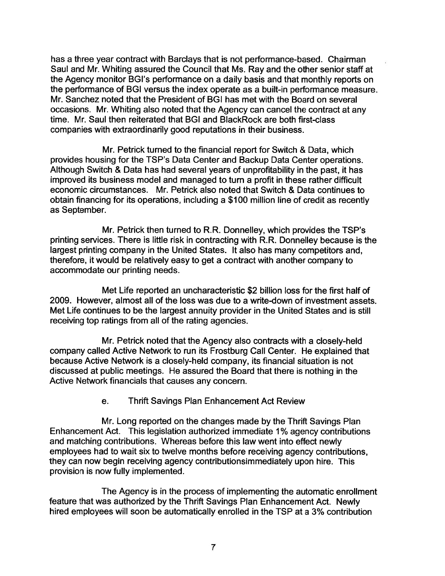has a three year contract with Barclays that is not performance-based. Chairman Saul and Mr. Whiting assured the Council that Ms. Ray and the other senior staff at the Agency monitor BGl's performance on a daily basis and that monthly reports on the performance of BGI versus the index operate as a built-in performance measure. Mr. Sanchez noted that the President of BGI has met with the Board on several occasions. Mr. Whiting also noted that the Agency can cancel the contract at any time. Mr. Saul then reiterated that BGI and BlackRock are both first-class companies with extraordinarily good reputations in their business.

Mr. Petrick turned to the financial report for Switch & Data, which provides housing for the TSP's Data Center and Backup Data Center operations. Although Switch & Data has had several years of unprofitability in the past, it has improved its business model and managed to turn a profit in these rather difficult economic circumstances. Mr. Petrick also noted that Switch & Data continues to obtain financing for its operations, including a \$100 million line of credit as recently as September.

Mr. Petrick then turned to R.R. Donnelley, which provides the TSP's printing services. There is little risk in contracting with R.R. Donnelley because is the largest printing company in the United States. It also has many competitors and, therefore, it would be relatively easy to get a contract with another company to accommodate our printing needs.

Met Life reported an uncharacteristic \$2 billion loss for the first half of 2009. However, almost all of the loss was due to a write-down of investment assets. Met Life continues to be the largest annuity provider in the United States and is still receiving top ratings from all of the rating agencies.

Mr. Petrick noted that the Agency also contracts with a closely-held company called Active Network to run its Frostburg Call Center. He explained that because Active Network is a closely-held company, its financial situation is not discussed at public meetings. He assured the Board that there is nothing in the Active Network financials that causes any concern.

#### e. Thrift Savings Plan Enhancement Act Review

Mr. Long reported on the changes made by the Thrift Savings Plan Enhancement Act. This legislation authorized immediate 1 % agency contributions and matching contributions. Whereas before this law went into effect newly employees had to wait six to twelve months before receiving agency contributions, they can now begin receiving agency contributionsimmediately upon hire. This provision is now fully implemented.

The Agency is in the process of implementing the automatic enrollment feature that was authorized by the Thrift Savings Plan Enhancement Act. Newly hired employees will soon be automatically enrolled in the TSP at a 3% contribution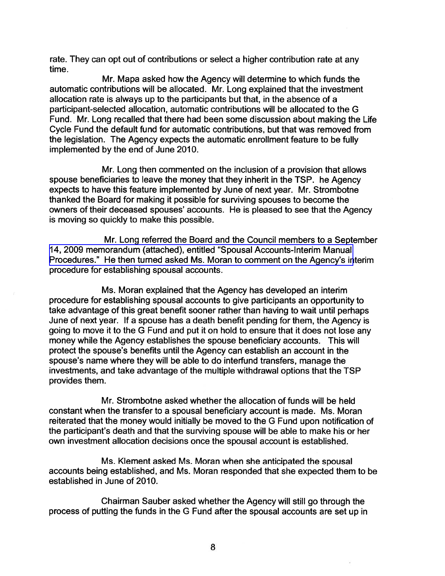rate. They can opt out of contributions or select a higher contribution rate at any time.

Mr. Mapa asked how the Agency will determine to which funds the automatic contributions will be allocated. Mr. Long explained that the investment allocation rate is always up to the participants but that, in the absence of a participant-selected allocation, automatic contributions will be allocated to the G Fund. Mr. Long recalled that there had been some discussion about making the Life Cycle Fund the default fund for automatic contributions, but that was removed from the legislation. The Agency expects the automatic enrollment feature to be fully implemented by the end of June 2010.

Mr. Long then commented on the inclusion of a provision that allows spouse beneficiaries to leave the money that they inherit in the TSP. he Agency expects to have this feature implemented by June of next year. Mr. Strombotne thanked the Board for making it possible for surviving spouses to become the owners of their deceased spouses' accounts. He is pleased to see that the Agency is moving so quickly to make this possible.

Mr. Long referred the Board and the Council members to a September [14,2009 memorandum \(attached\), entitled "Spousal Accounts-Interim Manual](http://www.frtib.gov/pdf/minutes/MM-2009Oct-Att6.pdf)  Procedures." He then turned asked Ms. Moran to comment on the Agency's interim procedure for establishing spousal accounts.

Ms. Moran explained that the Agency has developed an interim procedure for establishing spousal accounts to give participants an opportunity to take advantage of this great benefit sooner rather than having to wait until perhaps June of next year. If a spouse has a death benefit pending for them, the Agency is going to move it to the G Fund and put it on hold to ensure that it does not lose any money while the Agency establishes the spouse beneficiary accounts. This will protect the spouse's benefits until the Agency can establish an account in the spouse's name where they will be able to do interfund transfers, manage the investments, and take advantage of the multiple withdrawal options that the TSP provides them.

Mr. Strombotne asked whether the allocation of funds will be held constant when the transfer to a spousal beneficiary account is made. Ms. Moran reiterated that the money would initially be moved to the G Fund upon notification of the participant's death and that the surviving spouse will be able to make his or her own investment allocation decisions once the spousal account is established.

Ms. Klement asked Ms. Moran when she anticipated the spousal accounts being established, and Ms. Moran responded that she expected them to be established in June of 2010.

Chairman Sauber asked whether the Agency will still go through the process of putting the funds in the G Fund after the spousal accounts are set up in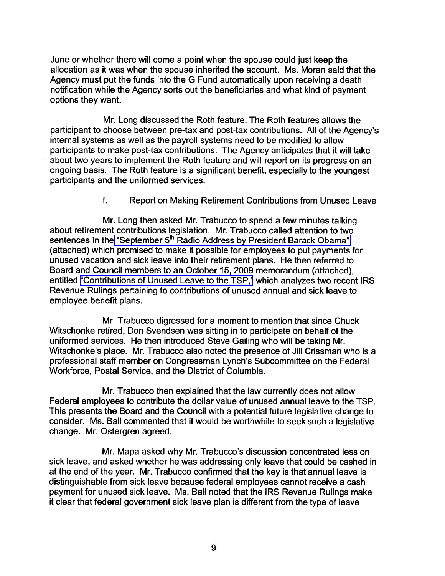June or whether there will come a point when the spouse could just keep the allocation as it was when the spouse inherited the account. Ms. Moran said that the Agency must put the funds into the G Fund automatically upon receiving a death notification while the Agency sorts out the beneficiaries and what kind of payment options they want.

Mr. Long discussed the Roth feature. The Roth features allows the participant to choose between pre-tax and post-tax contributions. All of the Agency's internal systems as well as the payroll systems need to be modified to allow participants to make post-tax contributions. The Agency anticipates that it will take about two years to implement the Roth feature and will report on its progress on an ongoing basis. The Roth feature is a significant benefit, especially to the youngest participants and the uniformed services.

f. Report on Making Retirement Contributions from Unused Leave

Mr. Long then asked Mr. Trabucco to spend a few minutes talking about retirement contributions legislation. Mr. Trabucco called attention to two sentences in the "September 5<sup>th</sup> Radio Address by President Barack Obama" (attached) which promised to make it possible for employees to put payments for unused vacation and sick leave into their retirement plans. He then referred to Board and Council members to an October 15,2009 memorandum (attached), entitled ["Contributions of Unused Leave to the TSP,"](http://www.frtib.gov/pdf/minutes/MM-2009Oct-Att8.pdf) which analyzes two recent IRS Revenue Rulings pertaining to contributions of unused annual and sick leave to employee benefit plans.

Mr. Trabucco digressed for a moment to mention that since Chuck Witschonke retired, Don Svendsen was sitting in to participate on behalf of the uniformed services. He then introduced Steve Gailing who will be taking Mr. Witschonke's place. Mr. Trabucco also noted the presence of Jill Crissman who is a professional staff member on Congressman Lynch's Subcommittee on the Federal Workforce, Postal Service, and the District of Columbia.

Mr. Trabucco then explained that the law currently does not allow Federal employees to contribute the dollar value of unused annual leave to the TSP. This presents the Board and the Council with a potential future legislative change to consider. Ms. Ball commented that it would be worthwhile to seek such a legislative change. Mr. Ostergren agreed.

Mr. Mapa asked why Mr. Trabucco's discussion concentrated less on sick leave, and asked whether he was addressing only leave that could be cashed in at the end of the year. Mr. Trabucco confirmed that the key is that annual leave is distinguishable from sick leave because federal employees cannot receive a cash payment for unused sick leave. Ms. Ball noted that the IRS Revenue Rulings make it clear that federal government sick leave plan is different from the type of leave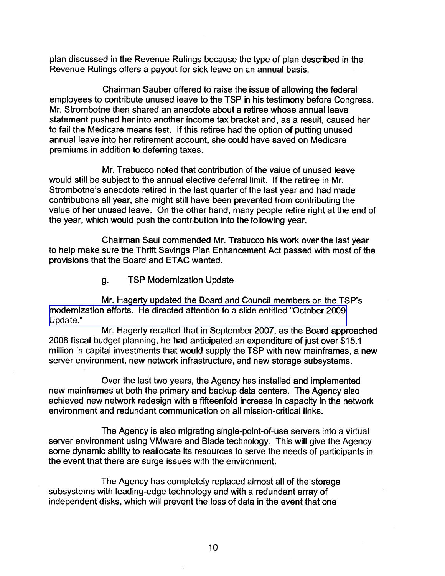plan discussed in the Revenue Rulings because the type of plan described in the Revenue Rulings offers a payout for sick leave on an annual basis.

Chairman Sauber offered to raise the issue of allowing the federal employees to contribute unused leave to the TSP in his testimony before Congress. Mr. Strombotne then shared an anecdote about a retiree whose annual leave statement pushed her into another income tax bracket and, as a result, caused her to fail the Medicare means test. If this retiree had the option of putting unused annual leave into her retirement account, she could have saved on Medicare premiums in addition to deferring taxes.

Mr. Trabucco noted that contribution of the value of unused leave would still be subject to the annual elective deferral limit. If the retiree in Mr. Strombotne's anecdote retired in the last quarter of the last year and had made contributions all year, she might still have been prevented from contributing the value of her unused leave. On the other hand, many people retire right at the end of the year, which would push the contribution into the following year.

Chairman Saul commended Mr. Trabucco his work over the last year to help make sure the Thrift Savings Plan Enhancement Act passed with most of the provisions that the Board and ETAC wanted.

g. TSP Modernization Update

Mr. Hagerty updated the Board and Council members on the TSP's [modernization efforts. He directed attention to a slide entitled "October 2009](http://www.frtib.gov/pdf/minutes/MM-2009Oct-Att9.pdf)  Update."

Mr. Hagerty recalled that in September 2007, as the Board approached 2008 fiscal budget planning, he had anticipated an expenditure of just over \$15.1 million in capital investments that would supply the TSP with new mainframes, a new server environment, new network infrastructure, and new storage subsystems.

Over the last two years, the Agency has installed and implemented new mainframes at both the primary and backup data centers. The Agency also achieved new network redesign with a fifteenfold increase in capacity in the network environment and redundant communication on all mission-critical links.

The Agency is also migrating single-point-of-use servers into a virtual server environment using VMware and Blade technology. This will give the Agency some dynamic ability to reallocate its resources to serve the needs of participants in the event that there are surge issues with the environment.

The Agency has completely replaced almost all of the storage subsystems with leading-edge technology and with a redundant array of independent disks, which will prevent the loss of data in the event that one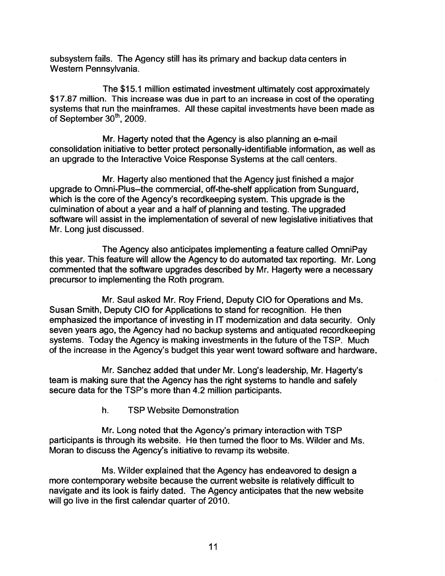subsystem fails. The Agency still has its primary and backup data centers in Western Pennsylvania.

The \$15.1 million estimated investment ultimately cost approximately \$17.87 million. This increase was due in part to an increase in cost of the operating systems that run the mainframes. All these capital investments have been made as of September  $30<sup>th</sup>$ , 2009.

Mr. Hagerty noted that the Agency is also planning an e-mail consolidation initiative to better protect personally-identifiable information, as well as an upgrade to the Interactive Voice Response Systems at the call centers.

Mr. Hagerty also mentioned that the Agency just finished a major upgrade to Omni-Plus-the commercial, off-the-shelf application from Sunguard, which is the core of the Agency's recordkeeping system. This upgrade is the culmination of about a year and a half of planning and testing. The upgraded software will assist in the implementation of several of new legislative initiatives that Mr. Long just discussed.

The Agency also anticipates implementing a feature called OmniPay this year. This feature will allow the Agency to do automated tax reporting. Mr. Long commented that the software upgrades described by Mr. Hagerty were a necessary precursor to implementing the Roth program.

Mr. Saul asked Mr. Roy Friend, Deputy CIO for Operations and Ms. Susan Smith, Deputy CIO for Applications to stand for recognition. He then emphasized the importance of investing in IT modernization and data security. Only seven years ago, the Agency had no backup systems and antiquated recordkeeping systems. Today the Agency is making investments in the future of the TSP. Much of the increase in the Agency's budget this year went toward software and hardware.

Mr. Sanchez added that under Mr. Long's leadership, Mr. Hagerty's team is making sure that the Agency has the right systems to handle and safely secure data for the TSP's more than 4.2 million participants.

h. TSP Website Demonstration

Mr. Long noted that the Agency's primary interaction with TSP participants is through its website. He then turned the floor to Ms. Wilder and Ms. Moran to discuss the Agency's initiative to revamp its website.

Ms. Wilder explained that the Agency has endeavored to design a more contemporary website because the current website is relatively difficult to navigate and its look is fairly dated. The Agency anticipates that the new website will go live in the first calendar quarter of 2010.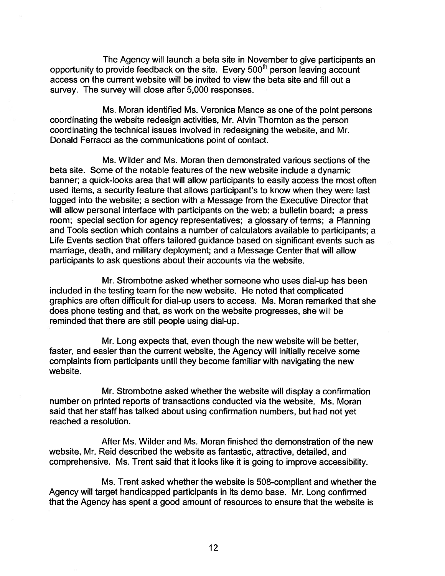The Agency will launch. a beta site in November to give participants an opportunity to provide feedback on the site. Every 500" person leaving account access on the current website will be invited to view the beta site and fill out a survey. The survey will close after 5,000 responses.

Ms. Moran identified Ms. Veronica Mance as one of the point persons coordinating the website redesign activities, Mr. Alvin Thornton as the person coordinating the technical issues involved in redesigning the website, and Mr. Donald Ferracci as the communications point of contact.

Ms. Wilder and Ms. Moran then demonstrated various sections of the beta site. Some of the notable features of the new website include a dynamic banner; a quick-looks area that will allow participants to easily access the most often used items, a security feature that allows participant's to know when they were last logged into the website; a section with a Message from the Executive Director that will allow personal interface with participants on the web; a bulletin board; a press room; special section for agency representatives; a glossary of terms; a Planning and Tools section which contains a number of calculators available to participants; a Life Events section that offers tailored guidance based on significant events such as marriage, death, and military deployment; and a Message Center that will allow participants to ask questions about their accounts via the website.

Mr. Strombotne asked whether someone who uses dial-up has been included in the testing team for the new website. He noted that complicated graphics are often difficult for dial-up users to access. Ms. Moran remarked that she does phone testing and that, as work on the website progresses, she will be reminded that there are still people using dial-up.

Mr. Long expects that, even though the new website will be better, faster, and easier than the current website, the Agency will initially receive some complaints from participants until they become familiar with navigating the new website.

Mr. Strombotne asked whether the website will display a confirmation number on printed reports of transactions conducted via the website. Ms. Moran said that her staff has talked about using confirmation numbers, but had not yet reached a resolution.

After Ms. Wilder and Ms. Moran finished the demonstration of the new website, Mr. Reid described the website as fantastic, attractive, detailed, and comprehensive. Ms. Trent said that it looks like it is going to improve accessibility.

Ms. Trent asked whether the website is 508-compliant and whether the Agency will target handicapped participants in its demo base. Mr. Long confirmed that the Agency has spent a good amount of resources to ensure that the website is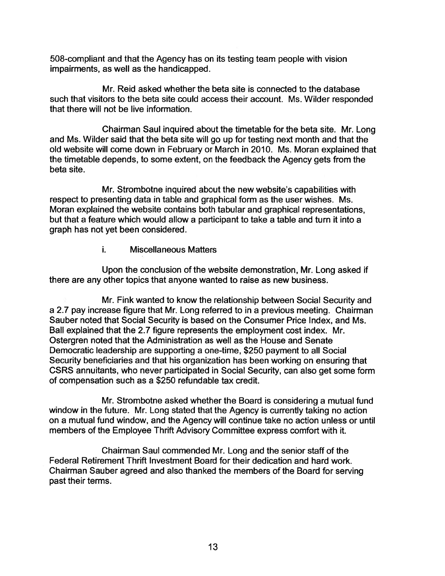508-compliant and that the Agency has on its testing team people with vision impairments, as well as the handicapped.

Mr. Reid asked whether the beta site is connected to the database such that visitors to the beta site could access their account. Ms. Wilder responded that there will not be live information.

Chairman Saul inquired about the timetable for the beta site. Mr. Long and Ms. Wilder said that the beta site will go up for testing next month and that the old website will come down in February or March in 2010. Ms. Moran explained that the timetable depends, to some extent, on the feedback the Agency gets from the beta site.

Mr. Strombotne inquired about the new website's capabilities with respect to presenting data in table and graphical form as the user wishes. Ms. Moran explained the website contains both tabular and graphical representations, but that a feature which would allow a participant to take a table and turn it into a graph has not yet been considered.

#### i. Miscellaneous Matters

Upon the conclusion of the website demonstration, Mr. Long asked if there are any other topics that anyone wanted to raise as new business.

Mr. Fink wanted to know the relationship between Social Security and a 2.7 pay increase figure that Mr. Long referred to in a previous meeting. Chairman Sauber noted that Social Security is based on the Consumer Price Index, and Ms. Ball explained that the 2.7 figure represents the employment cost index. Mr. Ostergren noted that the Administration as well as the House and Senate Democratic leadership are supporting a one-time, \$250 payment to all Social Security beneficiaries and that his organization has been working on ensuring that CSRS annuitants, who never participated in Social Security, can also get some form of compensation such as a \$250 refundable tax credit.

Mr. Strombotne asked whether the Board is considering a mutual fund window in the future. Mr. Long stated that the Agency is currently taking no action on a mutual fund window, and the Agency will continue take no action unless or until members of the Employee Thrift Advisory Committee express comfort with it.

Chairman Saul commended Mr. Long and the senior staff of the Federal Retirement Thrift Investment Board for their dedication and hard work. Chairman Sauber agreed and also thanked the members of the Board for serving past their terms.